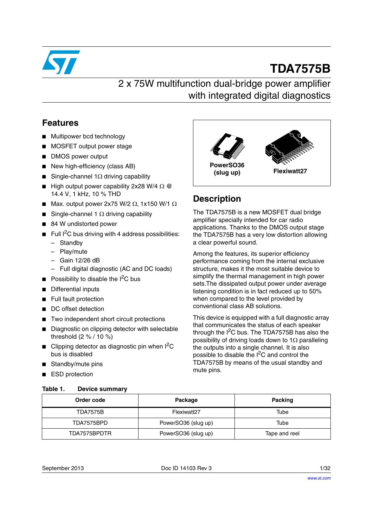

# **TDA7575B**

# 2 x 75W multifunction dual-bridge power amplifier with integrated digital diagnostics

### **Features**

- Multipower bcd technology
- MOSFET output power stage
- DMOS power output
- New high-efficiency (class AB)
- Single-channel 1 $\Omega$  driving capability
- High output power capability 2x28 W/4  $\Omega$  @ 14.4 V, 1 kHz, 10 % THD
- Max. output power 2x75 W/2  $\Omega$ , 1x150 W/1  $\Omega$
- Single-channel 1  $\Omega$  driving capability
- 84 W undistorted power
- **■** Full  $I^2C$  bus driving with 4 address possibilities:
	- Standby
	- Play/mute
	- Gain 12/26 dB
	- Full digital diagnostic (AC and DC loads)
- **■** Possibility to disable the  $I^2C$  bus
- Differential inputs
- Full fault protection
- DC offset detection
- Two independent short circuit protections
- Diagnostic on clipping detector with selectable threshold (2 % / 10 %)
- Clipping detector as diagnostic pin when  $I^2C$ bus is disabled
- Standby/mute pins
- ESD protection

#### <span id="page-0-0"></span>Table 1. **Device summary**



### **Description**

The TDA7575B is a new MOSFET dual bridge amplifier specially intended for car radio applications. Thanks to the DMOS output stage the TDA7575B has a very low distortion allowing a clear powerful sound.

Among the features, its superior efficiency performance coming from the internal exclusive structure, makes it the most suitable device to simplify the thermal management in high power sets.The dissipated output power under average listening condition is in fact reduced up to 50% when compared to the level provided by conventional class AB solutions.

This device is equipped with a full diagnostic array that communicates the status of each speaker through the  $I^2C$  bus. The TDA7575B has also the possibility of driving loads down to 1 $\Omega$  paralleling the outputs into a single channel. It is also possible to disable the I2C and control the TDA7575B by means of the usual standby and mute pins.

| Order code      | Package             | <b>Packing</b> |
|-----------------|---------------------|----------------|
| <b>TDA7575B</b> | Flexiwatt27         | Tube           |
| TDA7575BPD      | PowerSO36 (slug up) | Tube           |
| TDA7575BPDTR    | PowerSO36 (slug up) | Tape and reel  |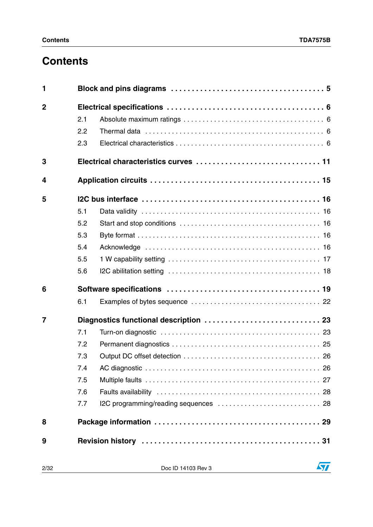# **Contents**

| 1              |            |                                        |
|----------------|------------|----------------------------------------|
| $\overline{2}$ | 2.1<br>2.2 |                                        |
|                | 2.3        |                                        |
|                |            |                                        |
| 3              |            |                                        |
| 4              |            |                                        |
| 5              |            |                                        |
|                | 5.1        |                                        |
|                | 5.2        |                                        |
|                | 5.3        |                                        |
|                | 5.4        |                                        |
|                | 5.5        |                                        |
|                | 5.6        |                                        |
| 6              |            |                                        |
|                | 6.1        |                                        |
| $\overline{7}$ |            | Diagnostics functional description  23 |
|                | 7.1        |                                        |
|                | 7.2        |                                        |
|                | 7.3        |                                        |
|                | 7.4        |                                        |
|                | 7.5        |                                        |
|                | 7.6        |                                        |
|                | 7.7        |                                        |
| 8              |            |                                        |
| 9              |            |                                        |

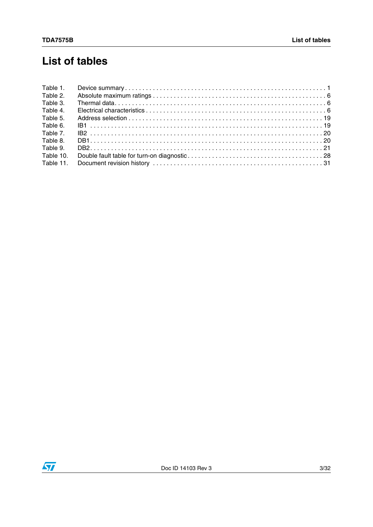# **List of tables**

| Table 1.  |  |
|-----------|--|
| Table 2.  |  |
| Table 3.  |  |
| Table 4.  |  |
| Table 5.  |  |
| Table 6.  |  |
| Table 7.  |  |
| Table 8.  |  |
| Table 9.  |  |
| Table 10. |  |
| Table 11. |  |
|           |  |

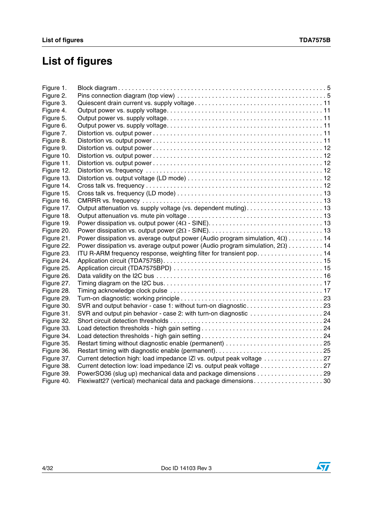# **List of figures**

| Figure 1.  |                                                                                      |  |
|------------|--------------------------------------------------------------------------------------|--|
| Figure 2.  |                                                                                      |  |
| Figure 3.  |                                                                                      |  |
| Figure 4.  |                                                                                      |  |
| Figure 5.  |                                                                                      |  |
| Figure 6.  |                                                                                      |  |
| Figure 7.  |                                                                                      |  |
| Figure 8.  |                                                                                      |  |
| Figure 9.  |                                                                                      |  |
| Figure 10. |                                                                                      |  |
| Figure 11. |                                                                                      |  |
| Figure 12. |                                                                                      |  |
| Figure 13. |                                                                                      |  |
| Figure 14. |                                                                                      |  |
| Figure 15. |                                                                                      |  |
| Figure 16. |                                                                                      |  |
| Figure 17. |                                                                                      |  |
| Figure 18. |                                                                                      |  |
| Figure 19. |                                                                                      |  |
| Figure 20. |                                                                                      |  |
| Figure 21. | Power dissipation vs. average output power (Audio program simulation, $4\Omega$ ) 14 |  |
| Figure 22. | Power dissipation vs. average output power (Audio program simulation, $2Q$ ) 14      |  |
| Figure 23. | ITU R-ARM frequency response, weighting filter for transient pop 14                  |  |
| Figure 24. |                                                                                      |  |
| Figure 25. |                                                                                      |  |
| Figure 26. |                                                                                      |  |
| Figure 27. |                                                                                      |  |
| Figure 28. |                                                                                      |  |
| Figure 29. |                                                                                      |  |
| Figure 30. | SVR and output behavior - case 1: without turn-on diagnostic23                       |  |
| Figure 31. | SVR and output pin behavior - case 2: with turn-on diagnostic 24                     |  |
| Figure 32. |                                                                                      |  |
| Figure 33. |                                                                                      |  |
| Figure 34. |                                                                                      |  |
| Figure 35. |                                                                                      |  |
| Figure 36. | Restart timing with diagnostic enable (permanent)25                                  |  |
| Figure 37. |                                                                                      |  |
| Figure 38. | Current detection low: load impedance  Z  vs. output peak voltage 27                 |  |
| Figure 39. | PowerSO36 (slug up) mechanical data and package dimensions 29                        |  |
| Figure 40. | Flexiwatt27 (vertical) mechanical data and package dimensions30                      |  |



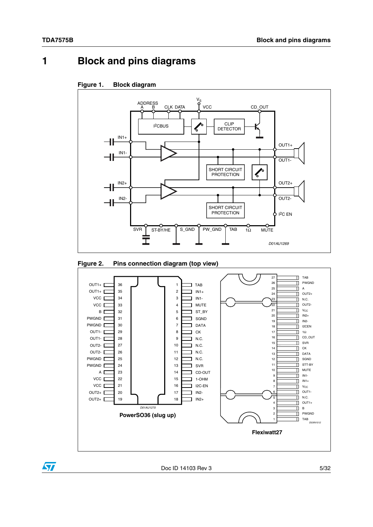## <span id="page-4-0"></span>**1 Block and pins diagrams**

<span id="page-4-1"></span>



<span id="page-4-2"></span>



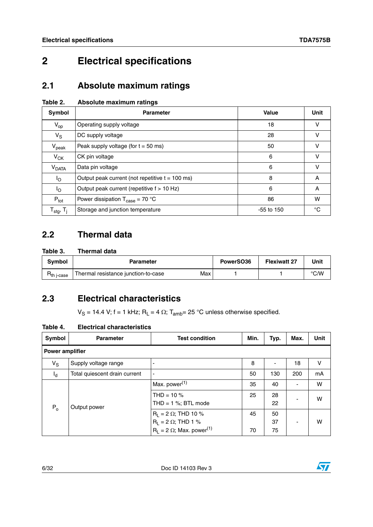# <span id="page-5-0"></span>**2 Electrical specifications**

### <span id="page-5-1"></span>**2.1 Absolute maximum ratings**

<span id="page-5-4"></span>

| Table 2. | Absolute maximum ratings |  |
|----------|--------------------------|--|
|          |                          |  |

| Symbol                                | <b>Parameter</b>                                    | Value        | <b>Unit</b> |
|---------------------------------------|-----------------------------------------------------|--------------|-------------|
| $V_{op}$                              | Operating supply voltage                            | 18           | v           |
| $V_S$                                 | DC supply voltage                                   | 28           | v           |
| $V_{\rm peak}$                        | Peak supply voltage (for $t = 50$ ms)               | 50           | v           |
| $V_{CK}$                              | CK pin voltage                                      | 6            | v           |
| V <sub>DATA</sub>                     | Data pin voltage                                    | 6            | v           |
| $I_{\rm O}$                           | Output peak current (not repetitive $t = 100$ ms)   | 8            | A           |
| $I_{\rm O}$                           | Output peak current (repetitive f > 10 Hz)          | 6            | A           |
| $P_{\text{tot}}$                      | Power dissipation $T_{\text{case}} = 70 \text{ °C}$ | 86           | w           |
| ${\sf T}_{\sf stg},\,{\sf T}_{\sf j}$ | Storage and junction temperature                    | $-55$ to 150 | °C          |

### <span id="page-5-2"></span>**2.2 Thermal data**

<span id="page-5-5"></span>

| Table 3. | <b>Thermal data</b> |  |
|----------|---------------------|--|
|          |                     |  |

| Svmbol                 | <b>Parameter</b>                    |     | PowerSO36 | <b>Flexiwatt 27</b> | Unit |
|------------------------|-------------------------------------|-----|-----------|---------------------|------|
| th i-case <sup>-</sup> | Thermal resistance junction-to-case | Max |           |                     | °C/W |

### <span id="page-5-3"></span>**2.3 Electrical characteristics**

 $V_S = 14.4$  V; f = 1 kHz; R<sub>L</sub> = 4  $\Omega$ ; T<sub>amb</sub>= 25 °C unless otherwise specified.

<span id="page-5-6"></span>

| <b>Electrical characteristics</b><br>Table 4. |  |
|-----------------------------------------------|--|
|-----------------------------------------------|--|

| Symbol  | <b>Parameter</b>              | <b>Test condition</b>                                                                                         | Min.     | Typ.           | Max. | <b>Unit</b> |  |  |
|---------|-------------------------------|---------------------------------------------------------------------------------------------------------------|----------|----------------|------|-------------|--|--|
|         | <b>Power amplifier</b>        |                                                                                                               |          |                |      |             |  |  |
| $V_S$   | Supply voltage range          |                                                                                                               | 8        | ٠              | 18   | v           |  |  |
| $I_d$   | Total quiescent drain current | $\blacksquare$                                                                                                | 50       | 130            | 200  | mA          |  |  |
| $P_{o}$ | Output power                  | Max. power <sup>(1)</sup>                                                                                     | 35       | 40             |      | W           |  |  |
|         |                               | THD = $10\%$<br>THD = $1\%$ ; BTL mode                                                                        | 25       | 28<br>22       |      | W           |  |  |
|         |                               | $R_1 = 2 \Omega$ ; THD 10 %<br>$R_L$ = 2 $\Omega$ ; THD 1 %<br>$R_L$ = 2 $\Omega$ ; Max. power <sup>(1)</sup> | 45<br>70 | 50<br>37<br>75 |      | w           |  |  |

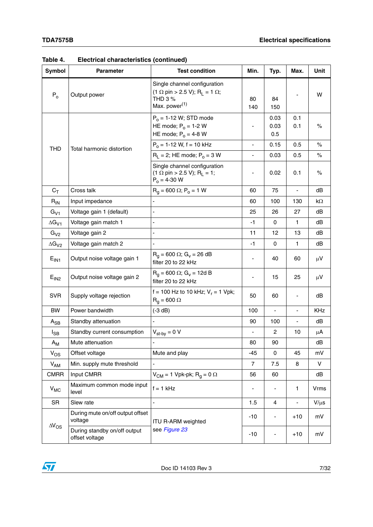| <b>Symbol</b>    | <b>Parameter</b>                               | <b>Test condition</b>                                                                                                                              | Min.           | Typ.                | Max.       | Unit        |
|------------------|------------------------------------------------|----------------------------------------------------------------------------------------------------------------------------------------------------|----------------|---------------------|------------|-------------|
| $P_0$            | Output power                                   | Single channel configuration<br>$(1 \Omega \text{ pin} > 2.5 \text{ V}); \text{ R}_{L} = 1 \Omega;$<br><b>THD 3 %</b><br>Max. power <sup>(1)</sup> | 80<br>140      | 84<br>150           |            | W           |
|                  |                                                | $P_0 = 1-12$ W; STD mode<br>HE mode; $P_0 = 1-2$ W<br>HE mode; $P_0 = 4-8$ W                                                                       |                | 0.03<br>0.03<br>0.5 | 0.1<br>0.1 | %           |
| <b>THD</b>       | Total harmonic distortion                      | $P_0 = 1 - 12$ W, f = 10 kHz                                                                                                                       |                | 0.15                | 0.5        | $\%$        |
|                  |                                                | $R_1 = 2$ ; HE mode; $P_0 = 3$ W                                                                                                                   |                | 0.03                | 0.5        | $\%$        |
|                  |                                                | Single channel configuration<br>$(1 \Omega \text{ pin} > 2.5 \text{ V}); \text{ R}_{L} = 1;$<br>$P_0 = 4 - 30$ W                                   | ۰              | 0.02                | 0.1        | $\%$        |
| $C_T$            | Cross talk                                     | $R_q = 600 \Omega$ ; $P_o = 1 W$                                                                                                                   | 60             | 75                  |            | dB          |
| $R_{IN}$         | Input impedance                                |                                                                                                                                                    | 60             | 100                 | 130        | kΩ          |
| $G_{V1}$         | Voltage gain 1 (default)                       |                                                                                                                                                    | 25             | 26                  | 27         | dB          |
| $\Delta G_{V1}$  | Voltage gain match 1                           |                                                                                                                                                    | $-1$           | 0                   | 1          | dB          |
| $G_{V2}$         | Voltage gain 2                                 | $\blacksquare$                                                                                                                                     | 11             | 12                  | 13         | dB          |
| $\Delta G_{V2}$  | Voltage gain match 2                           |                                                                                                                                                    | $-1$           | 0                   | 1          | dB          |
| E <sub>IN1</sub> | Output noise voltage gain 1                    | $R_q = 600 \Omega$ ; $G_v = 26 dB$<br>filter 20 to 22 kHz                                                                                          | -              | 40                  | 60         | $\mu$ V     |
| E <sub>IN2</sub> | Output noise voltage gain 2                    | $R_q = 600 \Omega$ ; G <sub>v</sub> = 12d B<br>filter 20 to 22 kHz                                                                                 | -              | 15                  | 25         | $\mu$ V     |
| <b>SVR</b>       | Supply voltage rejection                       | f = 100 Hz to 10 kHz; $V_r$ = 1 Vpk;<br>$R_q = 600 \Omega$                                                                                         | 50             | 60                  | -          | dB          |
| <b>BW</b>        | Power bandwidth                                | $(-3 dB)$                                                                                                                                          | 100            |                     | ÷,         | <b>KHz</b>  |
| $A_{SB}$         | Standby attenuation                            |                                                                                                                                                    | 90             | 100                 |            | dB          |
| $I_{SB}$         | Standby current consumption                    | $V_{\text{st-by}} = 0 V$                                                                                                                           |                | 2                   | 10         | μA          |
| $A_{\mathsf{M}}$ | Mute attenuation                               |                                                                                                                                                    | 80             | 90                  |            | dB          |
| $V_{OS}$         | Offset voltage                                 | Mute and play                                                                                                                                      | $-45$          | $\mathbf 0$         | 45         | mV          |
| $V_{AM}$         | Min. supply mute threshold                     |                                                                                                                                                    | $\overline{7}$ | 7.5                 | 8          | V           |
| <b>CMRR</b>      | Input CMRR                                     | $V_{CM}$ = 1 Vpk-pk; R <sub>q</sub> = 0 $\Omega$                                                                                                   | 56             | 60                  |            | dB          |
| $V_{MC}$         | Maximum common mode input<br>level             | $f = 1$ kHz                                                                                                                                        |                |                     | 1          | <b>Vrms</b> |
| <b>SR</b>        | Slew rate                                      | ÷,                                                                                                                                                 | 1.5            | 4                   | -          | $V/\mu s$   |
| $\Delta V_{OS}$  | During mute on/off output offset<br>voltage    | ITU R-ARM weighted                                                                                                                                 | $-10$          | -                   | $+10$      | mV          |
|                  | During standby on/off output<br>offset voltage | see Figure 23                                                                                                                                      | $-10$          |                     | $+10$      | mV          |

**Table 4. Electrical characteristics (continued)**

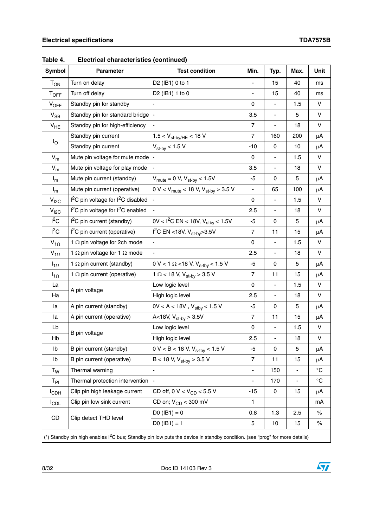| Symbol           | Parameter                                                  | <b>Test condition</b>                                                                                                                  | Min.                         | Typ.                         | Max.                     | Unit         |
|------------------|------------------------------------------------------------|----------------------------------------------------------------------------------------------------------------------------------------|------------------------------|------------------------------|--------------------------|--------------|
| $T_{ON}$         | Turn on delay                                              | D2 (IB1) 0 to 1                                                                                                                        |                              | 15                           | 40                       | ms           |
| <b>TOFF</b>      | Turn off delay                                             | D2 (IB1) 1 to 0                                                                                                                        |                              | 15                           | 40                       | ms           |
| $V_{OFF}$        | Standby pin for standby                                    |                                                                                                                                        | 0                            | ÷,                           | 1.5                      | $\vee$       |
| $V_{SB}$         | Standby pin for standard bridge                            | $\frac{1}{2}$                                                                                                                          | 3.5                          | $\qquad \qquad \blacksquare$ | 5                        | $\vee$       |
| $V_{HE}$         | Standby pin for high-efficiency                            |                                                                                                                                        | $\overline{7}$               | $\qquad \qquad \blacksquare$ | 18                       | V            |
|                  | Standby pin current                                        | $1.5 < V_{\text{st-by/HE}} < 18$ V                                                                                                     | $\overline{7}$               | 160                          | 200                      | $\mu$ A      |
| $I_{\bigcirc}$   | Standby pin current                                        | $V_{\text{st-by}}$ < 1.5 V                                                                                                             | -10                          | 0                            | 10                       | $\mu$ A      |
| $V_m$            | Mute pin voltage for mute mode                             |                                                                                                                                        | $\mathbf 0$                  |                              | 1.5                      | $\vee$       |
| $V_m$            | Mute pin voltage for play mode                             |                                                                                                                                        | 3.5                          | ÷,                           | 18                       | $\vee$       |
| $I_m$            | Mute pin current (standby)                                 | $V_{\text{mute}} = 0 \text{ V}, V_{\text{st-by}} < 1.5 \text{ V}$                                                                      | -5                           | 0                            | 5                        | $\mu$ A      |
| $I_m$            | Mute pin current (operative)                               | 0 V < $V_{\text{mute}}$ < 18 V, $V_{\text{st-by}}$ > 3.5 V                                                                             | ÷,                           | 65                           | 100                      | $\mu$ A      |
| $V_{I2C}$        | I <sup>2</sup> C pin voltage for I <sup>2</sup> C disabled |                                                                                                                                        | 0                            | ä,                           | 1.5                      | V            |
| V <sub>12C</sub> | I <sup>2</sup> C pin voltage for I <sup>2</sup> C enabled  |                                                                                                                                        | 2.5                          |                              | 18                       | $\vee$       |
| $I^2C$           | $I2C$ pin current (standby)                                | 0V < $I^2C$ EN < 18V, $V_{\text{stby}}$ < 1.5V                                                                                         | -5                           | 0                            | 5                        | $\mu$ A      |
| $I^2C$           | l <sup>2</sup> C pin current (operative)                   | $1^2C$ EN <18V, V <sub>st-bv</sub> >3.5V                                                                                               | $\overline{7}$               | 11                           | 15                       | $\mu$ A      |
| $V_{1\Omega}$    | 1 $\Omega$ pin voltage for 2ch mode                        |                                                                                                                                        | $\mathbf 0$                  | $\blacksquare$               | 1.5                      | $\vee$       |
| $V_{1\Omega}$    | 1 $\Omega$ pin voltage for 1 $\Omega$ mode                 | ÷,                                                                                                                                     | 2.5                          | $\overline{\phantom{0}}$     | 18                       | V            |
| $I_{1\Omega}$    | 1 $\Omega$ pin current (standby)                           | 0 V < 1 $\Omega$ < 18 V, V <sub>s-tby</sub> < 1.5 V                                                                                    | -5                           | 0                            | 5                        | $\mu$ A      |
| $I_{1\Omega}$    | 1 $\Omega$ pin current (operative)                         | 1 $\Omega$ < 18 V, V <sub>st-by</sub> > 3.5 V                                                                                          | $\overline{7}$               | 11                           | 15                       | $\mu$ A      |
| La               |                                                            | Low logic level                                                                                                                        | $\mathbf 0$                  |                              | 1.5                      | $\vee$       |
| Ha               | A pin voltage                                              | High logic level                                                                                                                       | 2.5                          | ÷,                           | 18                       | $\mathsf{V}$ |
| la               | A pin current (standby)                                    | $0V < A < 18V$ , $V_{\text{stby}} < 1.5 V$                                                                                             | $-5$                         | 0                            | 5                        | $\mu$ A      |
| la               | A pin current (operative)                                  | A<18V, $V_{\text{st-by}} > 3.5V$                                                                                                       | $\overline{7}$               | 11                           | 15                       | $\mu A$      |
| Lb               | B pin voltage                                              | Low logic level                                                                                                                        | 0                            | ä,                           | 1.5                      | $\vee$       |
| Hb               |                                                            | High logic level                                                                                                                       | 2.5                          |                              | 18                       | $\vee$       |
| Ib               | B pin current (standby)                                    | $0 V < B < 18 V, V_{s-tby} < 1.5 V$                                                                                                    | $-5$                         | $\mathsf 0$                  | 5                        | $\mu$ A      |
| Ib               | B pin current (operative)                                  | $B < 18$ V, $V_{st-bv} > 3.5$ V                                                                                                        | $\overline{7}$               | 11                           | 15                       | $\mu$ A      |
| $T_W$            | Thermal warning                                            | $\overline{a}$                                                                                                                         | $\qquad \qquad \blacksquare$ | 150                          | $\overline{\phantom{0}}$ | $^{\circ}C$  |
| $T_{\sf PI}$     | Thermal protection intervention                            |                                                                                                                                        |                              | 170                          | ÷                        | $^{\circ}C$  |
| <b>I</b> CDH     | Clip pin high leakage current                              | CD off, 0 V < $V_{CD}$ < 5.5 V                                                                                                         | -15                          | 0                            | 15                       | μA           |
| <b>I</b> CDL     | Clip pin low sink current                                  | CD on; $V_{CD}$ < 300 mV                                                                                                               | 1                            |                              |                          | mA           |
|                  |                                                            | $DO (IB1) = 0$                                                                                                                         | 0.8                          | 1.3                          | 2.5                      | $\%$         |
| CD               | Clip detect THD level                                      | $D0 (IB1) = 1$                                                                                                                         | 5                            | 10                           | 15                       | $\%$         |
|                  |                                                            | (*) Standby pin high enables I <sup>2</sup> C bus; Standby pin low puts the device in standby condition. (see "prog" for more details) |                              |                              |                          |              |

**Table 4. Electrical characteristics (continued)**

8/32 Doc ID 14103 Rev 3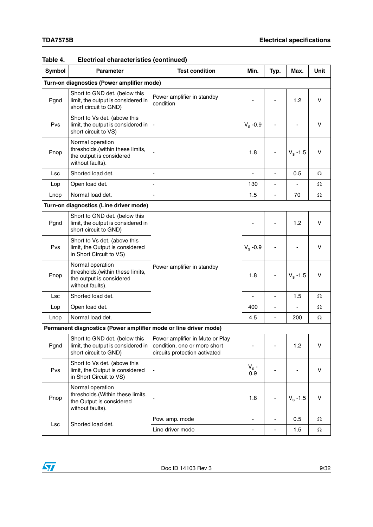| Symbol     | <b>Parameter</b>                                                                                     | <b>Test condition</b>                                                                            | Min.                     | Typ.                         | Max.             | <b>Unit</b> |
|------------|------------------------------------------------------------------------------------------------------|--------------------------------------------------------------------------------------------------|--------------------------|------------------------------|------------------|-------------|
|            | Turn-on diagnostics (Power amplifier mode)                                                           |                                                                                                  |                          |                              |                  |             |
| Pgnd       | Short to GND det. (below this<br>limit, the output is considered in<br>short circuit to GND)         | Power amplifier in standby<br>condition                                                          |                          |                              | 1.2              | $\vee$      |
| Pvs        | Short to Vs det. (above this<br>limit, the output is considered in<br>short circuit to VS)           |                                                                                                  | $V_s -0.9$               |                              |                  | $\vee$      |
| Pnop       | Normal operation<br>thresholds.(within these limits,<br>the output is considered<br>without faults). |                                                                                                  | 1.8                      |                              | $V_{\rm s}$ -1.5 | $\vee$      |
| Lsc        | Shorted load det.                                                                                    |                                                                                                  |                          |                              | 0.5              | Ω           |
| Lop        | Open load det.                                                                                       |                                                                                                  | 130                      |                              |                  | Ω           |
| Lnop       | Normal load det.                                                                                     |                                                                                                  | 1.5                      | ٠                            | 70               | Ω           |
|            | Turn-on diagnostics (Line driver mode)                                                               |                                                                                                  |                          |                              |                  |             |
| Pgnd       | Short to GND det. (below this<br>limit, the output is considered in<br>short circuit to GND)         |                                                                                                  |                          |                              | 1.2              | v           |
| Pvs        | Short to Vs det. (above this<br>limit, the Output is considered<br>in Short Circuit to VS)           |                                                                                                  | $V_s -0.9$               |                              |                  | v           |
| Pnop       | Normal operation<br>thresholds.(within these limits,<br>the output is considered<br>without faults). | Power amplifier in standby                                                                       | 1.8                      |                              | $V_s - 1.5$      | v           |
| <b>Lsc</b> | Shorted load det.                                                                                    |                                                                                                  |                          |                              | 1.5              | Ω           |
| Lop        | Open load det.                                                                                       |                                                                                                  | 400                      | ÷,                           |                  | Ω           |
| Lnop       | Normal load det.                                                                                     |                                                                                                  | 4.5                      | $\qquad \qquad \blacksquare$ | 200              | Ω           |
|            | Permanent diagnostics (Power amplifier mode or line driver mode)                                     |                                                                                                  |                          |                              |                  |             |
| Pgnd       | Short to GND det. (below this<br>limit, the output is considered in<br>short circuit to GND)         | Power amplifier in Mute or Play<br>condition, one or more short<br>circuits protection activated |                          |                              | 1.2              | $\vee$      |
| Pvs        | Short to Vs det. (above this<br>limit, the Output is considered<br>in Short Circuit to VS)           |                                                                                                  | $V_s$ -<br>0.9           |                              |                  | $\vee$      |
| Pnop       | Normal operation<br>thresholds.(Within these limits,<br>the Output is considered<br>without faults). |                                                                                                  | 1.8                      |                              | $V_{\rm s}$ -1.5 | V           |
| Lsc        | Shorted load det.                                                                                    | Pow. amp. mode                                                                                   | $\blacksquare$           | $\frac{1}{2}$                | 0.5              | Ω           |
|            |                                                                                                      | Line driver mode                                                                                 | $\overline{\phantom{0}}$ | $\qquad \qquad \blacksquare$ | 1.5              | $\Omega$    |

#### **Table 4. Electrical characteristics (continued)**

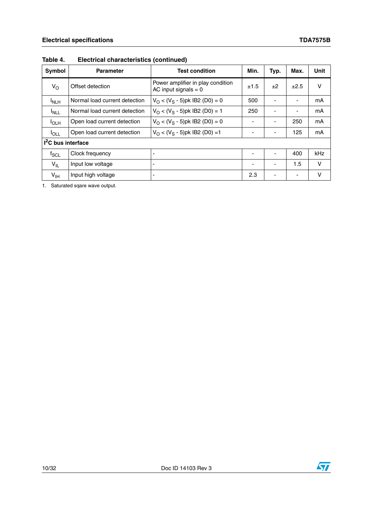| Symbol             | <b>Parameter</b>              | Test condition                                              | Min. | Typ.                     | Max.                     | Unit       |  |  |  |
|--------------------|-------------------------------|-------------------------------------------------------------|------|--------------------------|--------------------------|------------|--|--|--|
| $V_{\rm O}$        | Offset detection              | Power amplifier in play condition<br>AC input signals $= 0$ | ±1.5 | ±2                       | ±2.5                     | v          |  |  |  |
| <sup>I</sup> NLH   | Normal load current detection | $V_{\Omega}$ < (V <sub>S</sub> - 5)pk IB2 (D0) = 0          | 500  | $\overline{\phantom{a}}$ | $\overline{\phantom{0}}$ | mA         |  |  |  |
| $I_{NLL}$          | Normal load current detection | $V_{\Omega}$ < (V <sub>S</sub> - 5)pk IB2 (D0) = 1          | 250  | $\overline{\phantom{a}}$ | ٠                        | mA         |  |  |  |
| $I_{OLH}$          | Open load current detection   | $V_{\Omega}$ < (V <sub>S</sub> - 5)pk IB2 (D0) = 0          |      | $\overline{\phantom{a}}$ | 250                      | mA         |  |  |  |
| $I_{\text{OLL}}$   | Open load current detection   | $V_{\Omega}$ < (V <sub>S</sub> - 5)pk IB2 (D0) = 1          |      | $\overline{\phantom{a}}$ | 125                      | mA         |  |  |  |
|                    | $I2C$ bus interface           |                                                             |      |                          |                          |            |  |  |  |
| $f_{\mathsf{SCL}}$ | Clock frequency               |                                                             |      |                          | 400                      | <b>kHz</b> |  |  |  |
| $V_{IL}$           | Input low voltage             |                                                             | ٠    | $\overline{\phantom{a}}$ | 1.5                      | v          |  |  |  |
| $V_{\text{IH}}$    | Input high voltage            |                                                             | 2.3  | ٠                        | $\blacksquare$           | v          |  |  |  |

#### **Table 4. Electrical characteristics (continued)**

1. Saturated sqare wave output.

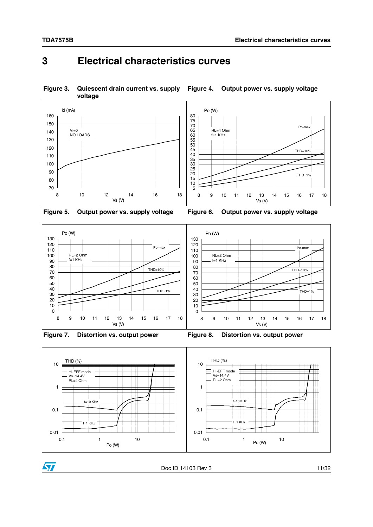### <span id="page-10-0"></span>**3 Electrical characteristics curves**

<span id="page-10-2"></span><span id="page-10-1"></span>**Figure 3. Quiescent drain current vs. supply voltage Figure 4. Output power vs. supply voltage**





<span id="page-10-4"></span><span id="page-10-3"></span>





<span id="page-10-5"></span>





<span id="page-10-6"></span>Doc ID 14103 Rev 3 11/32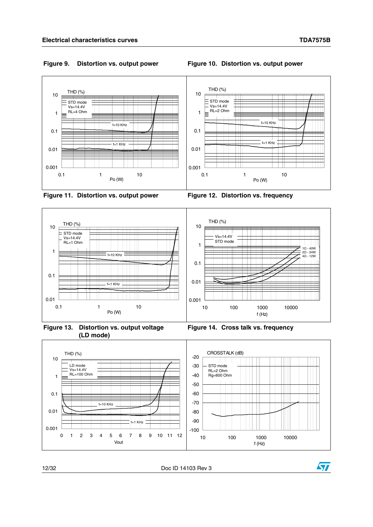#### <span id="page-11-1"></span><span id="page-11-0"></span>**Figure 9. Distortion vs. output power Figure 10. Distortion vs. output power**



<span id="page-11-2"></span>



<span id="page-11-4"></span>**Figure 13. Distortion vs. output voltage (LD mode)**

<span id="page-11-5"></span><span id="page-11-3"></span>



12/32 Doc ID 14103 Rev 3

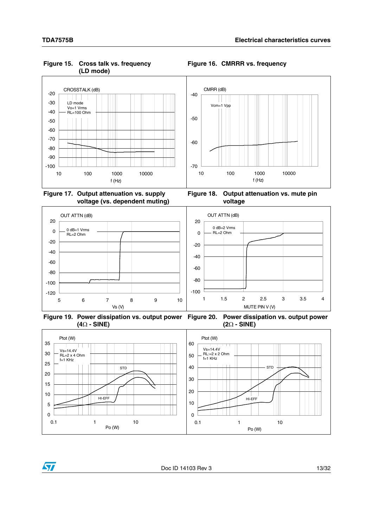

#### <span id="page-12-0"></span>**Figure 15. Cross talk vs. frequency (LD mode)**

<span id="page-12-1"></span>**Figure 16. CMRRR vs. frequency**

<span id="page-12-2"></span>**Figure 17. Output attenuation vs. supply voltage (vs. dependent muting)**

<span id="page-12-5"></span><span id="page-12-3"></span>**Figure 18. Output attenuation vs. mute pin voltage**



<span id="page-12-4"></span>**Figure 19. Power dissipation vs. output power Figure 20. Power dissipation vs. output power (4 - SINE) (2 - SINE)**



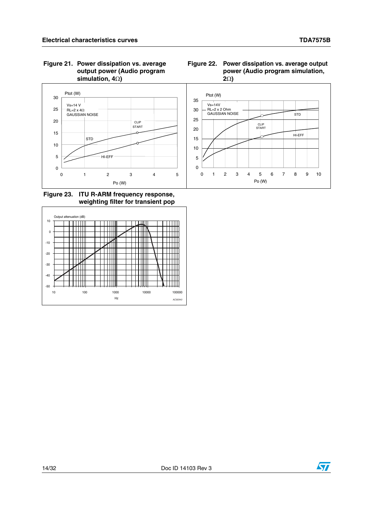#### <span id="page-13-0"></span>**Figure 21. Power dissipation vs. average output power (Audio program simulation, 4)**

<span id="page-13-1"></span>



<span id="page-13-2"></span>**Figure 23. ITU R-ARM frequency response, weighting filter for transient pop**





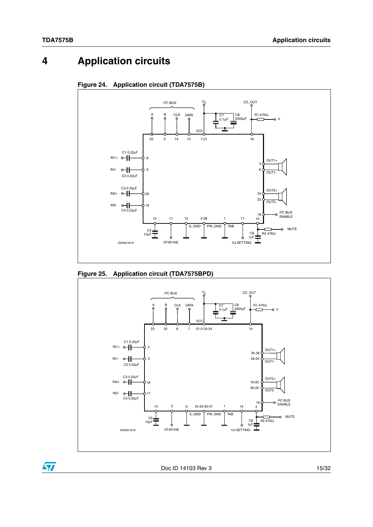# <span id="page-14-0"></span>**4 Application circuits**

<span id="page-14-1"></span>



#### <span id="page-14-2"></span>**Figure 25. Application circuit (TDA7575BPD)**



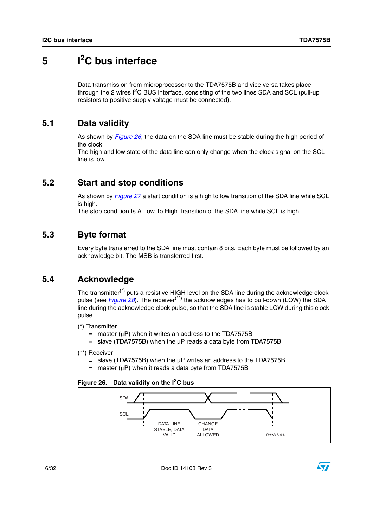# <span id="page-15-0"></span>**5 I2C bus interface**

Data transmission from microprocessor to the TDA7575B and vice versa takes place through the 2 wires  $I^2C$  BUS interface, consisting of the two lines SDA and SCL (pull-up resistors to positive supply voltage must be connected).

#### <span id="page-15-1"></span>**5.1 Data validity**

As shown by *[Figure 26](#page-15-5)*, the data on the SDA line must be stable during the high period of the clock.

The high and low state of the data line can only change when the clock signal on the SCL line is low.

#### <span id="page-15-2"></span>**5.2 Start and stop conditions**

As shown by *[Figure 27](#page-16-1)* a start condition is a high to low transition of the SDA line while SCL is high.

The stop condItion Is A Low To High Transition of the SDA line while SCL is high.

#### <span id="page-15-3"></span>**5.3 Byte format**

Every byte transferred to the SDA line must contain 8 bits. Each byte must be followed by an acknowledge bit. The MSB is transferred first.

### <span id="page-15-4"></span>**5.4 Acknowledge**

The transmitter<sup>(\*)</sup> puts a resistive HIGH level on the SDA line during the acknowledge clock pulse (see *[Figure 28](#page-16-2)*). The receiver(\*\*) the acknowledges has to pull-down (LOW) the SDA line during the acknowledge clock pulse, so that the SDA line is stable LOW during this clock pulse.

- (\*) Transmitter
	- $=$  master ( $\mu$ P) when it writes an address to the TDA7575B
	- $=$  slave (TDA7575B) when the  $\mu$ P reads a data byte from TDA7575B

- = slave (TDA7575B) when the µP writes an address to the TDA7575B
- $=$  master ( $\mu$ P) when it reads a data byte from TDA7575B

#### <span id="page-15-5"></span>**Figure 26. Data validity on the I2C bus**





<sup>(\*\*)</sup> Receiver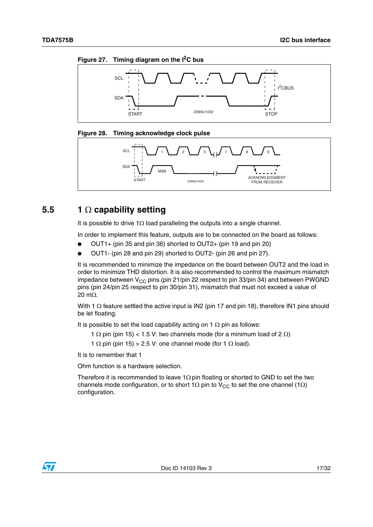<span id="page-16-1"></span>



<span id="page-16-2"></span>



### <span id="page-16-0"></span>**5.5 1 capability setting**

It is possible to drive 1 $\Omega$  load paralleling the outputs into a single channel.

In order to implement this feature, outputs are to be connected on the board as follows:

- OUT1+ (pin 35 and pin 36) shorted to OUT2+ (pin 19 and pin 20)
- OUT1- (pin 28 and pin 29) shorted to OUT2- (pin 26 and pin 27).

It is recommended to minimize the impedance on the board between OUT2 and the load in order to minimize THD distortion. It is also recommended to control the maximum mismatch impedance between  $V_{CC}$  pins (pin 21/pin 22 respect to pin 33/pin 34) and between PWGND pins (pin 24/pin 25 respect to pin 30/pin 31), mismatch that must not exceed a value of 20 m $\Omega$ .

With 1  $\Omega$  feature settled the active input is IN2 (pin 17 and pin 18), therefore IN1 pins should be let floating.

It is possible to set the load capability acting on 1  $\Omega$  pin as follows:

1  $\Omega$  pin (pin 15) < 1.5 V: two channels mode (for a minimum load of 2  $\Omega$ )

1  $\Omega$  pin (pin 15) > 2.5 V: one channel mode (for 1  $\Omega$  load).

It is to remember that 1

Ohm function is a hardware selection.

Therefore it is recommended to leave  $1\Omega$  pin floating or shorted to GND to set the two channels mode configuration, or to short 1 $\Omega$  pin to V<sub>CC</sub> to set the one channel (1 $\Omega$ ) configuration.

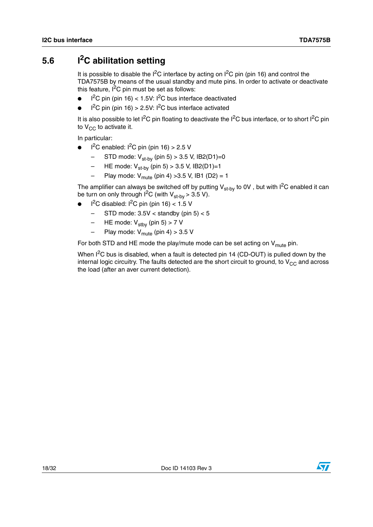## <span id="page-17-0"></span>**5.6 I2C abilitation setting**

It is possible to disable the  $1^2C$  interface by acting on  $1^2C$  pin (pin 16) and control the TDA7575B by means of the usual standby and mute pins. In order to activate or deactivate this feature,  $I^2C$  pin must be set as follows:

- $\bullet$  I<sup>2</sup>C pin (pin 16) < 1.5V: I<sup>2</sup>C bus interface deactivated
- $\bullet$  I<sup>2</sup>C pin (pin 16) > 2.5V: I<sup>2</sup>C bus interface activated

It is also possible to let  $I^2C$  pin floating to deactivate the  $I^2C$  bus interface, or to short  $I^2C$  pin to  $V_{CC}$  to activate it.

In particular:

- $\bullet$  I<sup>2</sup>C enabled: I<sup>2</sup>C pin (pin 16) > 2.5 V
	- STD mode:  $V_{\text{st-bv}}$  (pin 5) > 3.5 V, IB2(D1)=0
	- HE mode:  $V_{\text{st-bv}}$  (pin 5) > 3.5 V, IB2(D1)=1
	- Play mode:  $V_{\text{mute}}$  (pin 4) > 3.5 V, IB1 (D2) = 1

The amplifier can always be switched off by putting  $V_{st-bv}$  to 0V, but with  $I^2C$  enabled it can be turn on only through  $I^2C$  (with  $V_{st-bv} > 3.5 V$ ).

- $\bullet$  I<sup>2</sup>C disabled: I<sup>2</sup>C pin (pin 16) < 1.5 V
	- STD mode:  $3.5V <$  standby (pin  $5$ )  $<$  5
	- HE mode:  $V_{\text{stbv}}$  (pin 5) > 7 V
	- Play mode:  $V_{\text{mute}}$  (pin 4) > 3.5 V

For both STD and HE mode the play/mute mode can be set acting on  $V_{\text{mula}}$  pin.

When  $I^2C$  bus is disabled, when a fault is detected pin 14 (CD-OUT) is pulled down by the internal logic circuitry. The faults detected are the short circuit to ground, to  $V_{CC}$  and across the load (after an aver current detection).



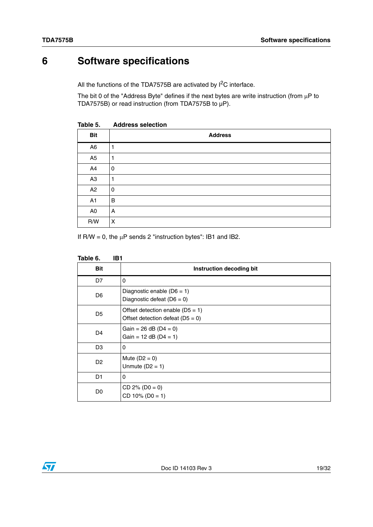# <span id="page-18-0"></span>**6 Software specifications**

All the functions of the TDA7575B are activated by  $I^2C$  interface.

The bit 0 of the "Address Byte" defines if the next bytes are write instruction (from  $\mu$ P to TDA7575B) or read instruction (from TDA7575B to µP).

| 100100         | <b>UNAINDO DESCRIPTI</b> |
|----------------|--------------------------|
| <b>Bit</b>     | <b>Address</b>           |
| A <sub>6</sub> | 1                        |
| A <sub>5</sub> | 1                        |
| A4             | $\pmb{0}$                |
| A <sub>3</sub> | 1                        |
| A2             | $\pmb{0}$                |
| A1             | B                        |
| A <sub>0</sub> | Α                        |
| R/W            | X                        |

<span id="page-18-1"></span>**Table 5. Address selection**

If  $R/W = 0$ , the  $\mu P$  sends 2 "instruction bytes": IB1 and IB2.

<span id="page-18-2"></span>

| Table 6.<br>IB1 |                                                                          |
|-----------------|--------------------------------------------------------------------------|
| <b>Bit</b>      | Instruction decoding bit                                                 |
| D7              | 0                                                                        |
| D <sub>6</sub>  | Diagnostic enable $(D6 = 1)$<br>Diagnostic defeat $(D6 = 0)$             |
| D <sub>5</sub>  | Offset detection enable $(D5 = 1)$<br>Offset detection defeat $(D5 = 0)$ |
| D <sub>4</sub>  | Gain = $26$ dB (D4 = 0)<br>Gain = $12$ dB (D4 = 1)                       |
| D <sub>3</sub>  | 0                                                                        |
| D <sub>2</sub>  | Mute $(D2 = 0)$<br>Unmute $(D2 = 1)$                                     |
| D1              | 0                                                                        |
| D <sub>0</sub>  | $CD 2\% (D0 = 0)$<br>$CD 10\% (D0 = 1)$                                  |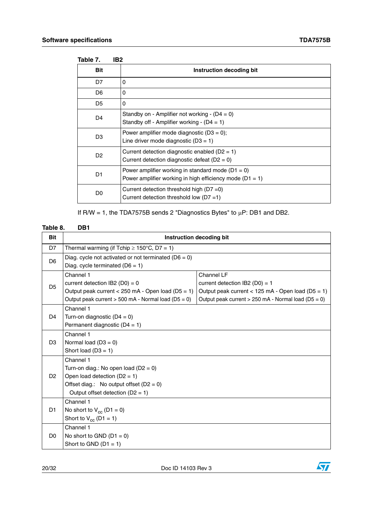<span id="page-19-0"></span>

| IB <sub>2</sub><br>Table 7. |                                                                                                                     |
|-----------------------------|---------------------------------------------------------------------------------------------------------------------|
| <b>Bit</b>                  | Instruction decoding bit                                                                                            |
| D7                          | 0                                                                                                                   |
| D <sub>6</sub>              | 0                                                                                                                   |
| D <sub>5</sub>              | 0                                                                                                                   |
| D <sub>4</sub>              | Standby on - Amplifier not working - $(D4 = 0)$<br>Standby off - Amplifier working - $(D4 = 1)$                     |
| D <sub>3</sub>              | Power amplifier mode diagnostic $(D3 = 0)$ ;<br>Line driver mode diagnostic $(D3 = 1)$                              |
| D <sub>2</sub>              | Current detection diagnostic enabled ( $D2 = 1$ )<br>Current detection diagnostic defeat ( $D2 = 0$ )               |
| D1                          | Power amplifier working in standard mode $(D1 = 0)$<br>Power amplifier working in high efficiency mode ( $D1 = 1$ ) |
| D <sub>0</sub>              | Current detection threshold high ( $D7 = 0$ )<br>Current detection threshold low ( $D7 = 1$ )                       |

If R/W = 1, the TDA7575B sends 2 "Diagnostics Bytes" to  $\mu$ P: DB1 and DB2.

#### <span id="page-19-1"></span>**Table 8. DB1**

| <b>Bit</b>                                      | Instruction decoding bit                                                                      |                                                       |  |  |  |  |  |
|-------------------------------------------------|-----------------------------------------------------------------------------------------------|-------------------------------------------------------|--|--|--|--|--|
| D7                                              | Thermal warming (if Tchip $\geq 150^{\circ}$ C, D7 = 1)                                       |                                                       |  |  |  |  |  |
| D <sub>6</sub>                                  | Diag. cycle not activated or not terminated ( $D6 = 0$ )<br>Diag. cycle terminated $(D6 = 1)$ |                                                       |  |  |  |  |  |
|                                                 | Channel 1                                                                                     | Channel LF                                            |  |  |  |  |  |
| D <sub>5</sub>                                  | current detection IB2 ( $D0$ ) = 0                                                            | current detection IB2 (D0) = $1$                      |  |  |  |  |  |
|                                                 | Output peak current $<$ 250 mA - Open load (D5 = 1)                                           | Output peak current $<$ 125 mA - Open load (D5 = 1)   |  |  |  |  |  |
|                                                 | Output peak current > 500 mA - Normal load (D5 = 0)                                           | Output peak current $> 250$ mA - Normal load (D5 = 0) |  |  |  |  |  |
|                                                 | Channel 1                                                                                     |                                                       |  |  |  |  |  |
| D <sub>4</sub><br>Turn-on diagnostic $(D4 = 0)$ |                                                                                               |                                                       |  |  |  |  |  |
|                                                 | Permanent diagnostic $(D4 = 1)$                                                               |                                                       |  |  |  |  |  |
|                                                 | Channel 1                                                                                     |                                                       |  |  |  |  |  |
| D <sub>3</sub>                                  | Normal load $(D3 = 0)$                                                                        |                                                       |  |  |  |  |  |
|                                                 | Short load $(D3 = 1)$                                                                         |                                                       |  |  |  |  |  |
|                                                 | Channel 1                                                                                     |                                                       |  |  |  |  |  |
|                                                 | Turn-on diag.: No open load ( $D2 = 0$ )                                                      |                                                       |  |  |  |  |  |
| D <sub>2</sub>                                  | Open load detection $(D2 = 1)$                                                                |                                                       |  |  |  |  |  |
|                                                 | Offset diag.: No output offset $(D2 = 0)$                                                     |                                                       |  |  |  |  |  |
|                                                 | Output offset detection $(D2 = 1)$                                                            |                                                       |  |  |  |  |  |
|                                                 | Channel 1                                                                                     |                                                       |  |  |  |  |  |
| D1                                              | No short to $V_{cc}$ (D1 = 0)                                                                 |                                                       |  |  |  |  |  |
|                                                 | Short to $V_{cc}$ (D1 = 1)                                                                    |                                                       |  |  |  |  |  |
|                                                 | Channel 1                                                                                     |                                                       |  |  |  |  |  |
| D <sub>0</sub>                                  | No short to GND $(D1 = 0)$                                                                    |                                                       |  |  |  |  |  |
|                                                 | Short to GND $(D1 = 1)$                                                                       |                                                       |  |  |  |  |  |

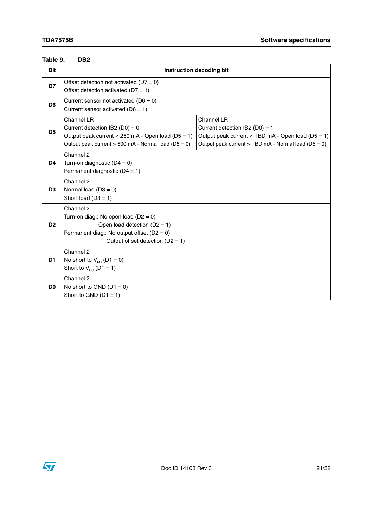| <b>Bit</b>     | Instruction decoding bit                                                                                                                                                        |                                                                                                                                                                    |  |  |  |  |
|----------------|---------------------------------------------------------------------------------------------------------------------------------------------------------------------------------|--------------------------------------------------------------------------------------------------------------------------------------------------------------------|--|--|--|--|
| D7             | Offset detection not activated ( $D7 = 0$ )<br>Offset detection activated ( $D7 = 1$ )                                                                                          |                                                                                                                                                                    |  |  |  |  |
| D <sub>6</sub> | Current sensor not activated ( $D6 = 0$ )<br>Current sensor activated ( $D6 = 1$ )                                                                                              |                                                                                                                                                                    |  |  |  |  |
| D <sub>5</sub> | Channel LR<br>Current detection IB2 (D0) = 0<br>Output peak current < 250 mA - Open load ( $D5 = 1$ )<br>Output peak current $> 500$ mA - Normal load (D5 = 0)                  | Channel LR<br>Current detection $IB2 (D0) = 1$<br>Output peak current < TBD mA - Open load ( $D5 = 1$ )<br>Output peak current > TBD mA - Normal load ( $D5 = 0$ ) |  |  |  |  |
| D <sub>4</sub> | Channel 2<br>Turn-on diagnostic $(D4 = 0)$<br>Permanent diagnostic $(D4 = 1)$                                                                                                   |                                                                                                                                                                    |  |  |  |  |
| D <sub>3</sub> | Channel 2<br>Normal load $(D3 = 0)$<br>Short load $(D3 = 1)$                                                                                                                    |                                                                                                                                                                    |  |  |  |  |
| D <sub>2</sub> | Channel 2<br>Turn-on diag.: No open load ( $D2 = 0$ )<br>Open load detection $(D2 = 1)$<br>Permanent diag.: No output offset ( $D2 = 0$ )<br>Output offset detection $(D2 = 1)$ |                                                                                                                                                                    |  |  |  |  |
| D <sub>1</sub> | Channel 2<br>No short to $V_{cc}$ (D1 = 0)<br>Short to $V_{cc}$ (D1 = 1)                                                                                                        |                                                                                                                                                                    |  |  |  |  |
| D <sub>0</sub> | Channel 2<br>No short to GND $(D1 = 0)$<br>Short to GND $(D1 = 1)$                                                                                                              |                                                                                                                                                                    |  |  |  |  |

#### <span id="page-20-0"></span>**Table 9. DB2**

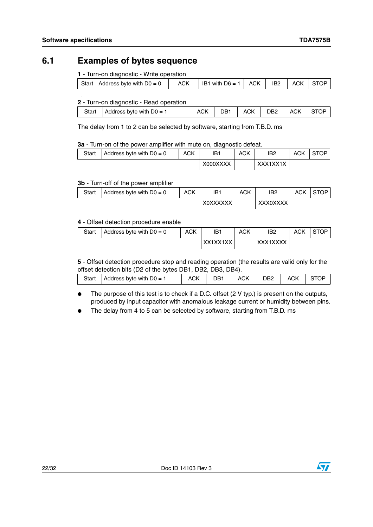L

### <span id="page-21-0"></span>**6.1 Examples of bytes sequence**

**1** - Turn-on diagnostic - Write operation

|  | Start $\vert$ Address byte with D0 = 0 $\vert$ | <b>ACK</b> | $\vert$ IB1 with D6 = 1 $\vert$ ACK | IB2 | <b>ACK</b> | l STOP |
|--|------------------------------------------------|------------|-------------------------------------|-----|------------|--------|
|  |                                                |            |                                     |     |            |        |

#### **2** - Turn-on diagnostic - Read operation

| Start | Address byte with $D0 = 1$ | <b>ACK</b> | DB1 | ACK I | DB2 ACK STOP |  |
|-------|----------------------------|------------|-----|-------|--------------|--|
|       |                            |            |     |       |              |  |

The delay from 1 to 2 can be selected by software, starting from T.B.D. ms

#### **3a** - Turn-on of the power amplifier with mute on, diagnostic defeat.

| Start | Address byte with $D0 = 0$ | <b>ACK</b> | IB1      | <b>ACK</b> | IB <sub>2</sub> | ACK | <b>STOP</b> |
|-------|----------------------------|------------|----------|------------|-----------------|-----|-------------|
|       |                            |            | X000XXXX |            | XXX1XX1X        |     |             |

#### **3b** - Turn-off of the power amplifier

| Start | Address byte with $D0 = 0$ | ACK | IB1             | <b>ACK</b> | IB <sub>2</sub> | <b>ACK</b> | <b>STOP</b> |
|-------|----------------------------|-----|-----------------|------------|-----------------|------------|-------------|
|       |                            |     | <b>XOXXXXXX</b> |            | <b>XXX0XXXX</b> |            |             |

#### **4** - Offset detection procedure enable

| Start | Address byte with $D0 = 0$ | ACK | IB1      | ACK | IB <sub>2</sub> | <b>ACK</b> | <b>STOP</b> |
|-------|----------------------------|-----|----------|-----|-----------------|------------|-------------|
|       |                            |     | XX1XX1XX |     | XXX1XXXX        |            |             |

**5** - Offset detection procedure stop and reading operation (the results are valid only for the offset detection bits (D2 of the bytes DB1, DB2, DB3, DB4).

| Start | Address byte with $D0 = 1$ | <b>ACK</b> | DB1 | <b>ACK</b> | DB2 | <b>ACK</b> |  |
|-------|----------------------------|------------|-----|------------|-----|------------|--|
|       |                            |            |     |            |     |            |  |

- The purpose of this test is to check if a D.C. offset (2 V typ.) is present on the outputs, produced by input capacitor with anomalous leakage current or humidity between pins.
- The delay from 4 to 5 can be selected by software, starting from T.B.D. ms



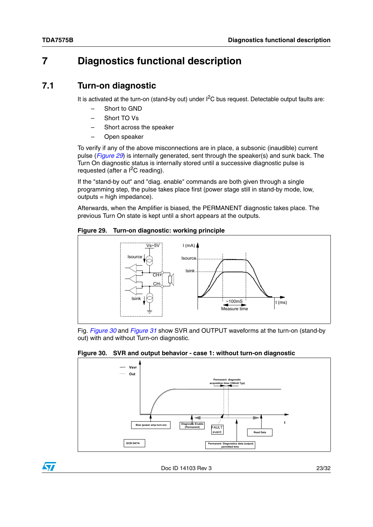$\sqrt{2}$ 

## <span id="page-22-0"></span>**7 Diagnostics functional description**

### <span id="page-22-1"></span>**7.1 Turn-on diagnostic**

It is activated at the turn-on (stand-by out) under  $I^2C$  bus request. Detectable output faults are:

- Short to GND
- Short TO Vs
- Short across the speaker
- Open speaker

To verify if any of the above misconnections are in place, a subsonic (inaudible) current pulse (*[Figure 29](#page-22-2)*) is internally generated, sent through the speaker(s) and sunk back. The Turn On diagnostic status is internally stored until a successive diagnostic pulse is requested (after a  $I^2C$  reading).

If the "stand-by out" and "diag. enable" commands are both given through a single programming step, the pulse takes place first (power stage still in stand-by mode, low, outputs = high impedance).

Afterwards, when the Amplifier is biased, the PERMANENT diagnostic takes place. The previous Turn On state is kept until a short appears at the outputs.

<span id="page-22-2"></span>**Figure 29. Turn-on diagnostic: working principle**



Fig. *[Figure 30](#page-22-3)* and *[Figure 31](#page-23-0)* show SVR and OUTPUT waveforms at the turn-on (stand-by out) with and without Turn-on diagnostic.

<span id="page-22-3"></span>

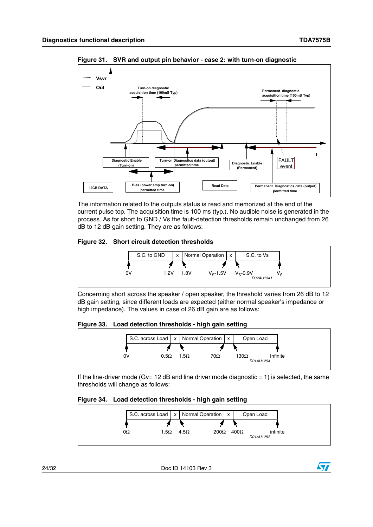

<span id="page-23-0"></span>**Figure 31. SVR and output pin behavior - case 2: with turn-on diagnostic**

The information related to the outputs status is read and memorized at the end of the current pulse top. The acquisition time is 100 ms (typ.). No audible noise is generated in the process. As for short to GND / Vs the fault-detection thresholds remain unchanged from 26 dB to 12 dB gain setting. They are as follows:

#### <span id="page-23-1"></span>**Figure 32. Short circuit detection thresholds**



Concerning short across the speaker / open speaker, the threshold varies from 26 dB to 12 dB gain setting, since different loads are expected (either normal speaker's impedance or high impedance). The values in case of 26 dB gain are as follows:

<span id="page-23-2"></span>**Figure 33. Load detection thresholds - high gain setting**



If the line-driver mode (Gv=  $12$  dB and line driver mode diagnostic =  $1$ ) is selected, the same thresholds will change as follows:

<span id="page-23-3"></span>

| Figure 34. Load detection thresholds - high gain setting |  |  |
|----------------------------------------------------------|--|--|
|                                                          |  |  |



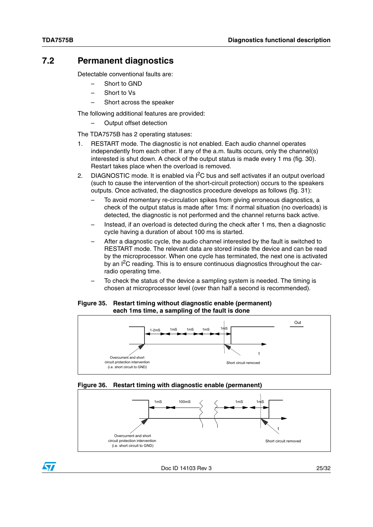### <span id="page-24-0"></span>**7.2 Permanent diagnostics**

Detectable conventional faults are:

- Short to GND
- Short to Vs
- Short across the speaker

The following additional features are provided:

– Output offset detection

The TDA7575B has 2 operating statuses:

- 1. RESTART mode. The diagnostic is not enabled. Each audio channel operates independently from each other. If any of the a.m. faults occurs, only the channel(s) interested is shut down. A check of the output status is made every 1 ms (fig. 30). Restart takes place when the overload is removed.
- 2. DIAGNOSTIC mode. It is enabled via  $I<sup>2</sup>C$  bus and self activates if an output overload (such to cause the intervention of the short-circuit protection) occurs to the speakers outputs. Once activated, the diagnostics procedure develops as follows (fig. 31):
	- To avoid momentary re-circulation spikes from giving erroneous diagnostics, a check of the output status is made after 1ms: if normal situation (no overloads) is detected, the diagnostic is not performed and the channel returns back active.
	- Instead, if an overload is detected during the check after 1 ms, then a diagnostic cycle having a duration of about 100 ms is started.
	- After a diagnostic cycle, the audio channel interested by the fault is switched to RESTART mode. The relevant data are stored inside the device and can be read by the microprocessor. When one cycle has terminated, the next one is activated by an  $I^2C$  reading. This is to ensure continuous diagnostics throughout the carradio operating time.
	- To check the status of the device a sampling system is needed. The timing is chosen at microprocessor level (over than half a second is recommended).

#### <span id="page-24-1"></span>**Figure 35. Restart timing without diagnostic enable (permanent) each 1ms time, a sampling of the fault is done**



#### <span id="page-24-2"></span>**Figure 36. Restart timing with diagnostic enable (permanent)**



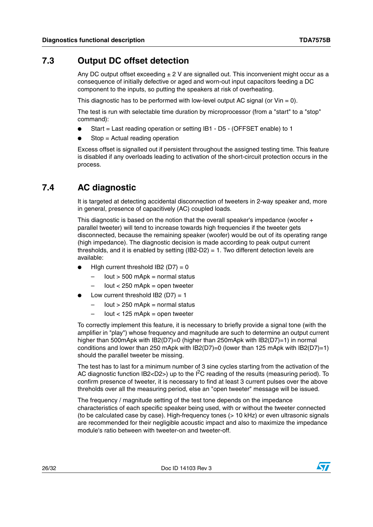### <span id="page-25-0"></span>**7.3 Output DC offset detection**

Any DC output offset exceeding  $\pm 2$  V are signalled out. This inconvenient might occur as a consequence of initially defective or aged and worn-out input capacitors feeding a DC component to the inputs, so putting the speakers at risk of overheating.

This diagnostic has to be performed with low-level output AC signal (or  $V$ in = 0).

The test is run with selectable time duration by microprocessor (from a "start" to a "stop" command):

- Start = Last reading operation or setting IB1 D5 (OFFSET enable) to 1
- $Stop = Actual reading operation$

Excess offset is signalled out if persistent throughout the assigned testing time. This feature is disabled if any overloads leading to activation of the short-circuit protection occurs in the process.

### <span id="page-25-1"></span>**7.4 AC diagnostic**

It is targeted at detecting accidental disconnection of tweeters in 2-way speaker and, more in general, presence of capacitively (AC) coupled loads.

This diagnostic is based on the notion that the overall speaker's impedance (woofer + parallel tweeter) will tend to increase towards high frequencies if the tweeter gets disconnected, because the remaining speaker (woofer) would be out of its operating range (high impedance). The diagnostic decision is made according to peak output current thresholds, and it is enabled by setting  $(B2-D2) = 1$ . Two different detection levels are available:

- High current threshold IB2 ( $D7$ ) = 0
	- $-$  Iout > 500 mApk = normal status
	- $-$  Iout  $<$  250 mApk = open tweeter
- Low current threshold IB2 ( $D7$ ) = 1
	- $-$  Iout > 250 mApk = normal status
	- $-$  Iout  $<$  125 mApk = open tweeter

To correctly implement this feature, it is necessary to briefly provide a signal tone (with the amplifier in "play") whose frequency and magnitude are such to determine an output current higher than 500mApk with IB2(D7)=0 (higher than 250mApk with IB2(D7)=1) in normal conditions and lower than 250 mApk with IB2(D7)=0 (lower than 125 mApk with IB2(D7)=1) should the parallel tweeter be missing.

The test has to last for a minimum number of 3 sine cycles starting from the activation of the AC diagnostic function IB2<D2>) up to the  $I^2C$  reading of the results (measuring period). To confirm presence of tweeter, it is necessary to find at least 3 current pulses over the above threholds over all the measuring period, else an "open tweeter" message will be issued.

The frequency / magnitude setting of the test tone depends on the impedance characteristics of each specific speaker being used, with or without the tweeter connected (to be calculated case by case). High-frequency tones (> 10 kHz) or even ultrasonic signals are recommended for their negligible acoustic impact and also to maximize the impedance module's ratio between with tweeter-on and tweeter-off.

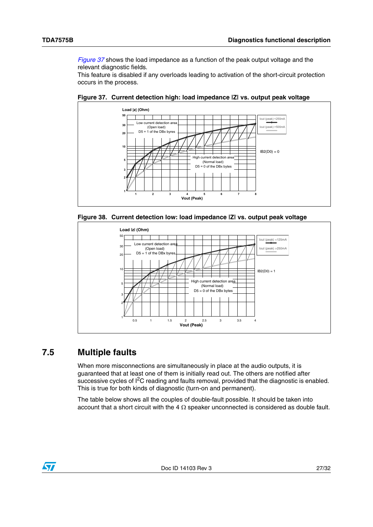*[Figure 37](#page-26-1)* shows the load impedance as a function of the peak output voltage and the relevant diagnostic fields.

This feature is disabled if any overloads leading to activation of the short-circuit protection occurs in the process.



<span id="page-26-1"></span>**Figure 37. Current detection high: load impedance |Z| vs. output peak voltage**

<span id="page-26-2"></span>



### <span id="page-26-0"></span>**7.5 Multiple faults**

When more misconnections are simultaneously in place at the audio outputs, it is guaranteed that at least one of them is initially read out. The others are notified after successive cycles of  $1^2C$  reading and faults removal, provided that the diagnostic is enabled. This is true for both kinds of diagnostic (turn-on and permanent).

The table below shows all the couples of double-fault possible. It should be taken into account that a short circuit with the 4  $\Omega$  speaker unconnected is considered as double fault.

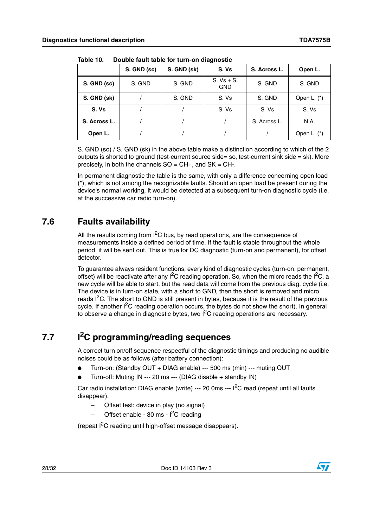|              | S. GND (sc) | S. GND (sk) | S. Vs                      | S. Across L. | Open L.       |
|--------------|-------------|-------------|----------------------------|--------------|---------------|
| S. GND (sc)  | S. GND      | S. GND      | $S. Vs + S.$<br><b>GND</b> | S. GND       | S. GND        |
| S. GND (sk)  |             | S. GND      | S. Vs                      | S. GND       | Open L. (*)   |
| S. Vs        |             |             | S. Vs                      | S. Vs        | S. Vs         |
| S. Across L. |             |             |                            | S. Across L. | N.A.          |
| Open L.      |             |             |                            |              | Open L. $(*)$ |

<span id="page-27-2"></span>**Table 10. Double fault table for turn-on diagnostic**

S. GND (so) / S. GND (sk) in the above table make a distinction according to which of the 2 outputs is shorted to ground (test-current source side= so, test-current sink side = sk). More precisely, in both the channels  $SO = CH+$ , and  $SK = CH-$ .

In permanent diagnostic the table is the same, with only a difference concerning open load (\*), which is not among the recognizable faults. Should an open load be present during the device's normal working, it would be detected at a subsequent turn-on diagnostic cycle (i.e. at the successive car radio turn-on).

### <span id="page-27-0"></span>**7.6 Faults availability**

All the results coming from  $I^2C$  bus, by read operations, are the consequence of measurements inside a defined period of time. If the fault is stable throughout the whole period, it will be sent out. This is true for DC diagnostic (turn-on and permanent), for offset detector.

To guarantee always resident functions, every kind of diagnostic cycles (turn-on, permanent, offset) will be reactivate after any  $I^2C$  reading operation. So, when the micro reads the  $I^2C$ , a new cycle will be able to start, but the read data will come from the previous diag. cycle (i.e. The device is in turn-on state, with a short to GND, then the short is removed and micro reads  $1<sup>2</sup>C$ . The short to GND is still present in bytes, because it is the result of the previous cycle. If another  ${}^{12}C$  reading operation occurs, the bytes do not show the short). In general to observe a change in diagnostic bytes, two  $I^2C$  reading operations are necessary.

## <span id="page-27-1"></span>**7.7 I2C programming/reading sequences**

A correct turn on/off sequence respectful of the diagnostic timings and producing no audible noises could be as follows (after battery connection):

- Turn-on: (Standby OUT + DIAG enable) --- 500 ms (min) --- muting OUT
- Turn-off: Muting IN --- 20 ms --- (DIAG disable + standby IN)

Car radio installation: DIAG enable (write) --- 20 0ms --- I<sup>2</sup>C read (repeat until all faults disappear).

- Offset test: device in play (no signal)
- Offset enable 30 ms  $I^2C$  reading

(repeat I2C reading until high-offset message disappears).

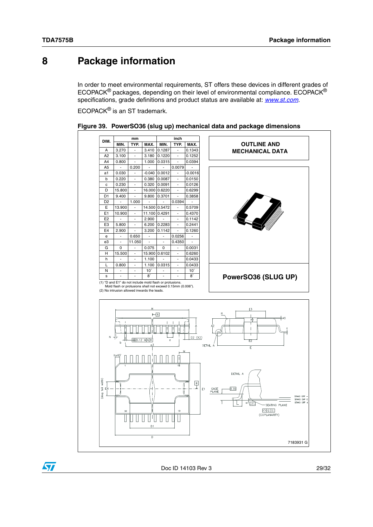$\sqrt{2}$ 

### <span id="page-28-0"></span>**8 Package information**

In order to meet environmental requirements, ST offers these devices in different grades of ECOPACK® packages, depending on their level of environmental compliance. ECOPACK® specifications, grade definitions and product status are available at: *[www.st.com](http://www.st.com)*.

ECOPACK® is an ST trademark.



<span id="page-28-1"></span>

|  | Figure 39. PowerSO36 (slug up) mechanical data and package dimensions |  |  |  |
|--|-----------------------------------------------------------------------|--|--|--|
|--|-----------------------------------------------------------------------|--|--|--|

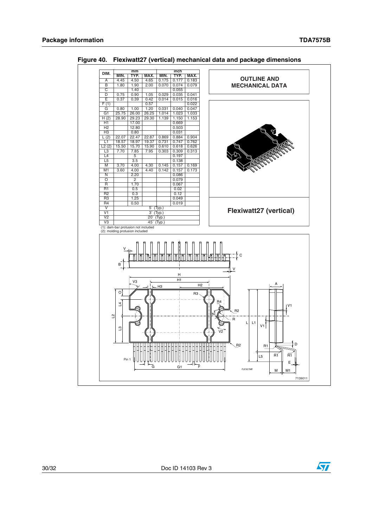

<span id="page-29-0"></span>**Figure 40. Flexiwatt27 (vertical) mechanical data and package dimensions**



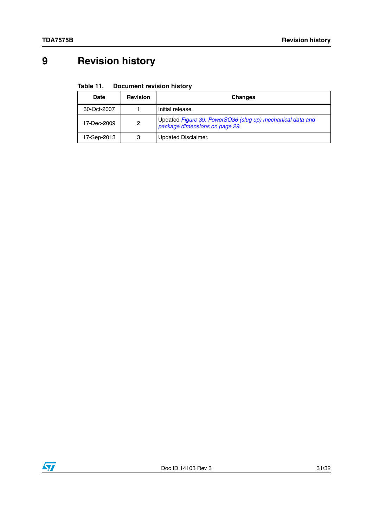# <span id="page-30-0"></span>**9 Revision history**

#### <span id="page-30-1"></span>Table 11. **Document revision history**

| <b>Date</b> | <b>Revision</b> | <b>Changes</b>                                                                               |
|-------------|-----------------|----------------------------------------------------------------------------------------------|
| 30-Oct-2007 |                 | Initial release.                                                                             |
| 17-Dec-2009 | 2               | Updated Figure 39: PowerSO36 (slug up) mechanical data and<br>package dimensions on page 29. |
| 17-Sep-2013 | 3               | Updated Disclaimer.                                                                          |